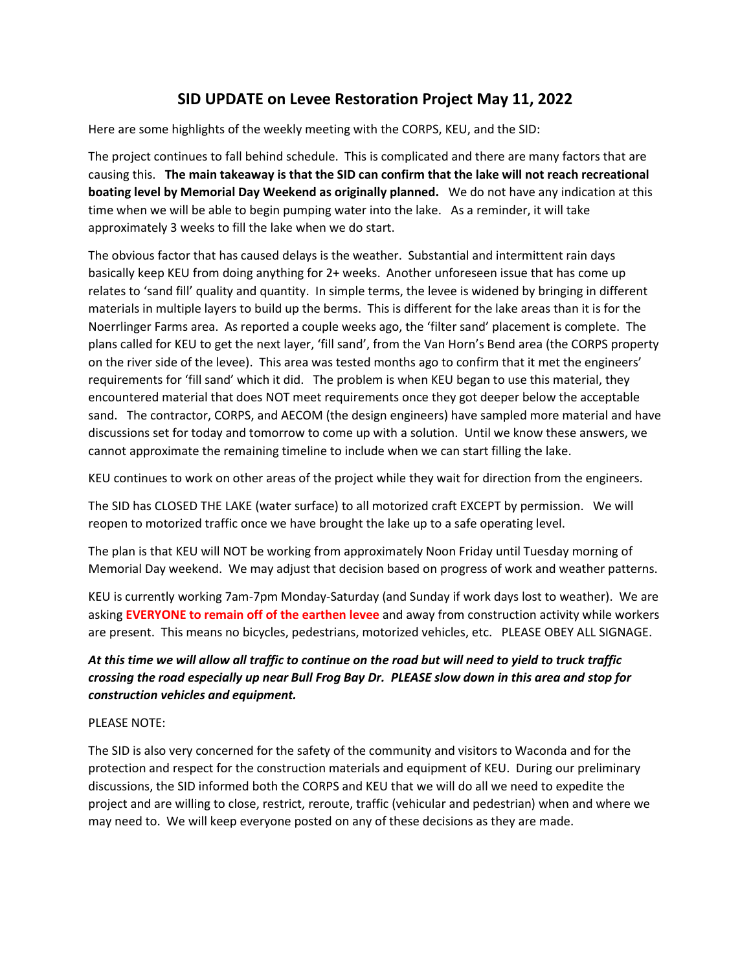## **SID UPDATE on Levee Restoration Project May 11, 2022**

Here are some highlights of the weekly meeting with the CORPS, KEU, and the SID:

The project continues to fall behind schedule. This is complicated and there are many factors that are causing this. **The main takeaway is that the SID can confirm that the lake will not reach recreational boating level by Memorial Day Weekend as originally planned.** We do not have any indication at this time when we will be able to begin pumping water into the lake. As a reminder, it will take approximately 3 weeks to fill the lake when we do start.

The obvious factor that has caused delays is the weather. Substantial and intermittent rain days basically keep KEU from doing anything for 2+ weeks. Another unforeseen issue that has come up relates to 'sand fill' quality and quantity. In simple terms, the levee is widened by bringing in different materials in multiple layers to build up the berms. This is different for the lake areas than it is for the Noerrlinger Farms area. As reported a couple weeks ago, the 'filter sand' placement is complete. The plans called for KEU to get the next layer, 'fill sand', from the Van Horn's Bend area (the CORPS property on the river side of the levee). This area was tested months ago to confirm that it met the engineers' requirements for 'fill sand' which it did. The problem is when KEU began to use this material, they encountered material that does NOT meet requirements once they got deeper below the acceptable sand. The contractor, CORPS, and AECOM (the design engineers) have sampled more material and have discussions set for today and tomorrow to come up with a solution. Until we know these answers, we cannot approximate the remaining timeline to include when we can start filling the lake.

KEU continues to work on other areas of the project while they wait for direction from the engineers.

The SID has CLOSED THE LAKE (water surface) to all motorized craft EXCEPT by permission. We will reopen to motorized traffic once we have brought the lake up to a safe operating level.

The plan is that KEU will NOT be working from approximately Noon Friday until Tuesday morning of Memorial Day weekend. We may adjust that decision based on progress of work and weather patterns.

KEU is currently working 7am-7pm Monday-Saturday (and Sunday if work days lost to weather). We are asking **EVERYONE to remain off of the earthen levee** and away from construction activity while workers are present. This means no bicycles, pedestrians, motorized vehicles, etc. PLEASE OBEY ALL SIGNAGE.

## *At this time we will allow all traffic to continue on the road but will need to yield to truck traffic crossing the road especially up near Bull Frog Bay Dr. PLEASE slow down in this area and stop for construction vehicles and equipment.*

## PLEASE NOTE:

The SID is also very concerned for the safety of the community and visitors to Waconda and for the protection and respect for the construction materials and equipment of KEU. During our preliminary discussions, the SID informed both the CORPS and KEU that we will do all we need to expedite the project and are willing to close, restrict, reroute, traffic (vehicular and pedestrian) when and where we may need to. We will keep everyone posted on any of these decisions as they are made.